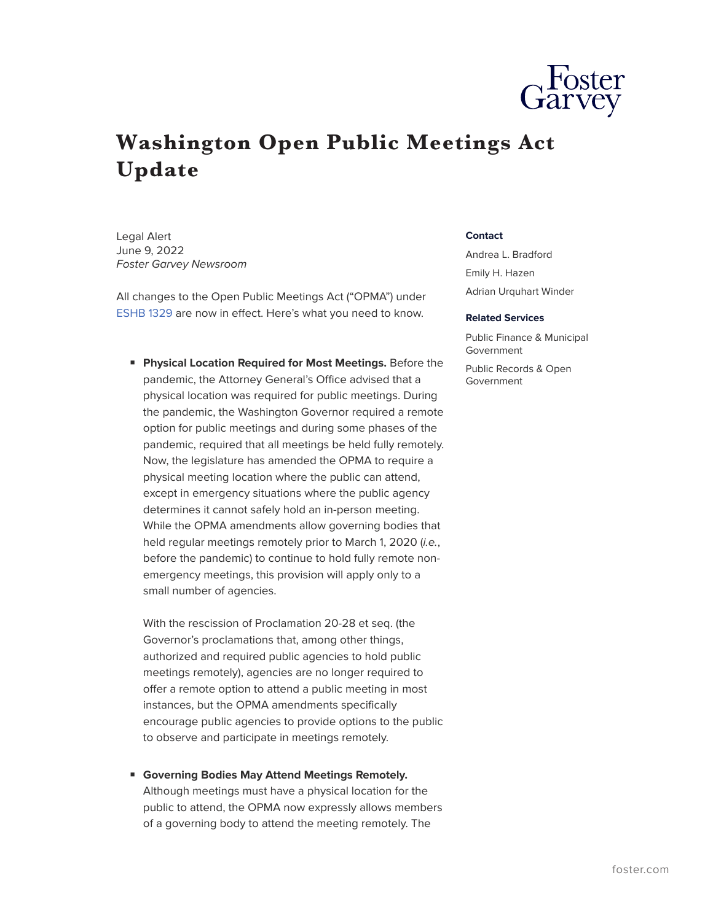

## **Washington Open Public Meetings Act Update**

Legal Alert June 9, 2022 *Foster Garvey Newsroom*

All changes to the Open Public Meetings Act ("OPMA") under [ESHB 1329](https://fp.foster.com/collect/click.aspx?u=R3kxRnQ4UktaU3dDenFBdVVPU29FeFB1SjFDWnpqdEZvenk4RUM5NlNyQzhNV1EyS3lxSUVPSzB2UTB5ZEJhakxiT21TNFFsVTFYdnVkamtaKzZvRkhwWEpKMVc1emtsclJ0dlUzaEtPS0t6VkYySnpBcnVhdDlGNFdtaXJBL040R2lXWjJMSHZEVTZpYkFTM2MvVDFERG4vOG1IVVgvUmFXUVB0RzNMSUhEeTM0NE9EVGhmVHlZYXkvd1FtSnk2&rh=ff0092803c431382350a56b3e249bb36e247ef29) are now in effect. Here's what you need to know.

■ **Physical Location Required for Most Meetings.** Before the pandemic, the Attorney General's Office advised that a physical location was required for public meetings. During the pandemic, the Washington Governor required a remote option for public meetings and during some phases of the pandemic, required that all meetings be held fully remotely. Now, the legislature has amended the OPMA to require a physical meeting location where the public can attend, except in emergency situations where the public agency determines it cannot safely hold an in-person meeting. While the OPMA amendments allow governing bodies that held regular meetings remotely prior to March 1, 2020 (*i.e.*, before the pandemic) to continue to hold fully remote nonemergency meetings, this provision will apply only to a small number of agencies.

With the rescission of Proclamation 20-28 et seq. (the Governor's proclamations that, among other things, authorized and required public agencies to hold public meetings remotely), agencies are no longer required to offer a remote option to attend a public meeting in most instances, but the OPMA amendments specifically encourage public agencies to provide options to the public to observe and participate in meetings remotely.

■ **Governing Bodies May Attend Meetings Remotely.** Although meetings must have a physical location for the public to attend, the OPMA now expressly allows members of a governing body to attend the meeting remotely. The

## **Contact**

Andrea L. Bradford Emily H. Hazen Adrian Urquhart Winder

## **Related Services**

Public Finance & Municipal Government

Public Records & Open Government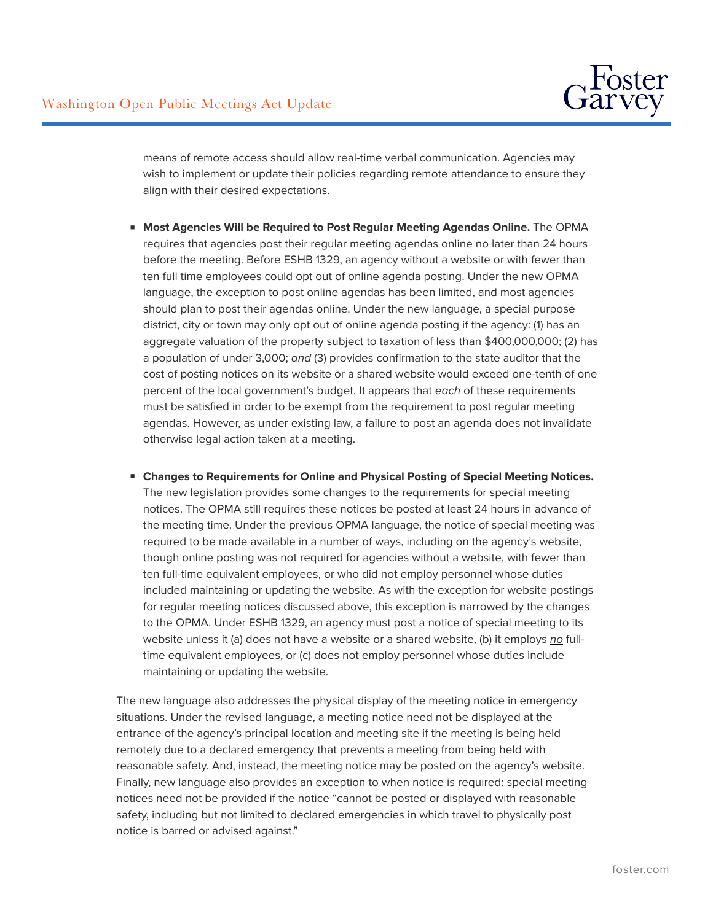

means of remote access should allow real-time verbal communication. Agencies may wish to implement or update their policies regarding remote attendance to ensure they align with their desired expectations.

- **Most Agencies Will be Required to Post Regular Meeting Agendas Online.** The OPMA requires that agencies post their regular meeting agendas online no later than 24 hours before the meeting. Before ESHB 1329, an agency without a website or with fewer than ten full time employees could opt out of online agenda posting. Under the new OPMA language, the exception to post online agendas has been limited, and most agencies should plan to post their agendas online. Under the new language, a special purpose district, city or town may only opt out of online agenda posting if the agency: (1) has an aggregate valuation of the property subject to taxation of less than \$400,000,000; (2) has a population of under 3,000; *and* (3) provides confirmation to the state auditor that the cost of posting notices on its website or a shared website would exceed one-tenth of one percent of the local government's budget. It appears that *each* of these requirements must be satisfied in order to be exempt from the requirement to post regular meeting agendas. However, as under existing law, a failure to post an agenda does not invalidate otherwise legal action taken at a meeting.
- **Changes to Requirements for Online and Physical Posting of Special Meeting Notices.** The new legislation provides some changes to the requirements for special meeting notices. The OPMA still requires these notices be posted at least 24 hours in advance of the meeting time. Under the previous OPMA language, the notice of special meeting was required to be made available in a number of ways, including on the agency's website, though online posting was not required for agencies without a website, with fewer than ten full-time equivalent employees, or who did not employ personnel whose duties included maintaining or updating the website. As with the exception for website postings for regular meeting notices discussed above, this exception is narrowed by the changes to the OPMA. Under ESHB 1329, an agency must post a notice of special meeting to its website unless it (a) does not have a website or a shared website, (b) it employs *no* fulltime equivalent employees, or (c) does not employ personnel whose duties include maintaining or updating the website.

The new language also addresses the physical display of the meeting notice in emergency situations. Under the revised language, a meeting notice need not be displayed at the entrance of the agency's principal location and meeting site if the meeting is being held remotely due to a declared emergency that prevents a meeting from being held with reasonable safety. And, instead, the meeting notice may be posted on the agency's website. Finally, new language also provides an exception to when notice is required: special meeting notices need not be provided if the notice "cannot be posted or displayed with reasonable safety, including but not limited to declared emergencies in which travel to physically post notice is barred or advised against."